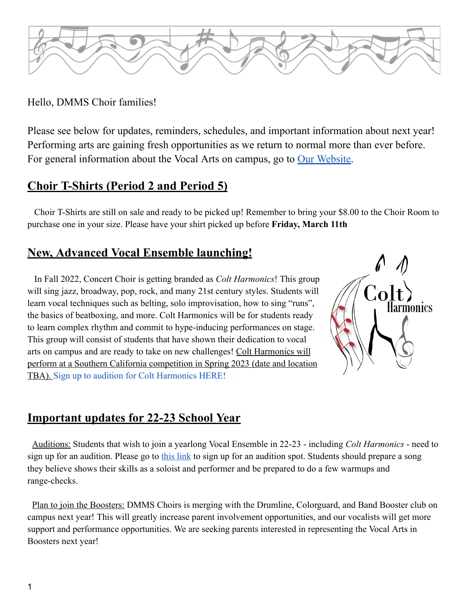

### Hello, DMMS Choir families!

Please see below for updates, reminders, schedules, and important information about next year! Performing arts are gaining fresh opportunities as we return to normal more than ever before. For general information about the Vocal Arts on campus, go to <u>Our [Website](https://www.dmmschoirs.com/)</u>.

## **Choir T-Shirts (Period 2 and Period 5)**

Choir T-Shirts are still on sale and ready to be picked up! Remember to bring your \$8.00 to the Choir Room to purchase one in your size. Please have your shirt picked up before **Friday, March 11th**

## **New, Advanced Vocal Ensemble launching!**

In Fall 2022, Concert Choir is getting branded as *Colt Harmonics*! This group will sing jazz, broadway, pop, rock, and many 21st century styles. Students will learn vocal techniques such as belting, solo improvisation, how to sing "runs", the basics of beatboxing, and more. Colt Harmonics will be for students ready to learn complex rhythm and commit to hype-inducing performances on stage. This group will consist of students that have shown their dedication to vocal arts on campus and are ready to take on new challenges! Colt Harmonics will perform at a Southern California competition in Spring 2023 (date and location TBA). [Sign up to audition for Colt Harmonics HERE!](https://www.signupgenius.com/go/8050844a5aa2da3f58-choir)



## **Important updates for 22-23 School Year**

Auditions: Students that wish to join a yearlong Vocal Ensemble in 22-23 - including *Colt Harmonics* - need to sign up for an audition. Please go to [this link](https://www.signupgenius.com/go/8050844a5aa2da3f58-choir) to sign up for an audition spot. Students should prepare a song they believe shows their skills as a soloist and performer and be prepared to do a few warmups and range-checks.

Plan to join the Boosters: DMMS Choirs is merging with the Drumline, Colorguard, and Band Booster club on campus next year! This will greatly increase parent involvement opportunities, and our vocalists will get more support and performance opportunities. We are seeking parents interested in representing the Vocal Arts in Boosters next year!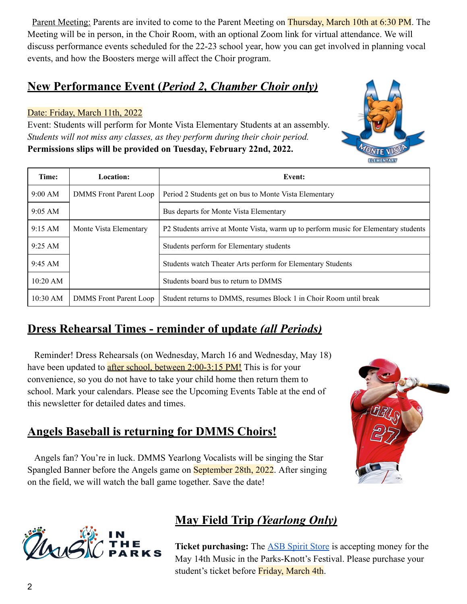Parent Meeting: Parents are invited to come to the Parent Meeting on Thursday, March 10th at 6:30 PM. The Meeting will be in person, in the Choir Room, with an optional Zoom link for virtual attendance. We will discuss performance events scheduled for the 22-23 school year, how you can get involved in planning vocal events, and how the Boosters merge will affect the Choir program.

### **New Performance Event (***Period 2, Chamber Choir only)*

#### Date: Friday, March 11th, 2022

Event: Students will perform for Monte Vista Elementary Students at an assembly. *Students will not miss any classes, as they perform during their choir period.* **Permissions slips will be provided on Tuesday, February 22nd, 2022.**

| Time:             | Location:                     | Event:                                                                              |  |
|-------------------|-------------------------------|-------------------------------------------------------------------------------------|--|
| 9:00 AM           | <b>DMMS</b> Front Parent Loop | Period 2 Students get on bus to Monte Vista Elementary                              |  |
| $9:05 \text{ AM}$ |                               | Bus departs for Monte Vista Elementary                                              |  |
| 9:15 AM           | Monte Vista Elementary        | P2 Students arrive at Monte Vista, warm up to perform music for Elementary students |  |
| $9:25 \text{ AM}$ |                               | Students perform for Elementary students                                            |  |
| $9:45 \text{ AM}$ |                               | Students watch Theater Arts perform for Elementary Students                         |  |
| $10:20$ AM        |                               | Students board bus to return to DMMS                                                |  |
| $10:30$ AM        | <b>DMMS</b> Front Parent Loop | Student returns to DMMS, resumes Block 1 in Choir Room until break                  |  |

## **Dress Rehearsal Times - reminder of update** *(all Periods)*

Reminder! Dress Rehearsals (on Wednesday, March 16 and Wednesday, May 18) have been updated to **after school, between 2:00-3:15 PM!** This is for your convenience, so you do not have to take your child home then return them to school. Mark your calendars. Please see the Upcoming Events Table at the end of this newsletter for detailed dates and times.

## **Angels Baseball is returning for DMMS Choirs!**

Angels fan? You're in luck. DMMS Yearlong Vocalists will be singing the Star Spangled Banner before the Angels game on September 28th, 2022. After singing on the field, we will watch the ball game together. Save the date!





# **May Field Trip** *(Yearlong Only)*

**Ticket purchasing:** The **ASB** Spirit Store is accepting money for the May 14th Music in the Parks-Knott's Festival. Please purchase your student's ticket before Friday, March 4th.